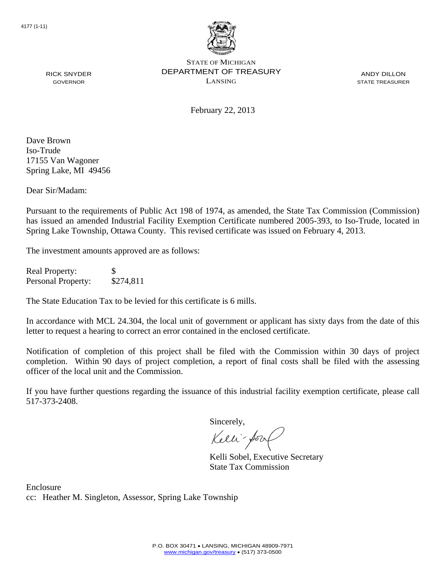

ANDY DILLON STATE TREASURER

February 22, 2013

Dave Brown Iso-Trude 17155 Van Wagoner Spring Lake, MI 49456

RICK SNYDER GOVERNOR

Dear Sir/Madam:

Pursuant to the requirements of Public Act 198 of 1974, as amended, the State Tax Commission (Commission) has issued an amended Industrial Facility Exemption Certificate numbered 2005-393, to Iso-Trude, located in Spring Lake Township, Ottawa County. This revised certificate was issued on February 4, 2013.

The investment amounts approved are as follows:

Real Property: \$ Personal Property: \$274,811

The State Education Tax to be levied for this certificate is 6 mills.

In accordance with MCL 24.304, the local unit of government or applicant has sixty days from the date of this letter to request a hearing to correct an error contained in the enclosed certificate.

Notification of completion of this project shall be filed with the Commission within 30 days of project completion. Within 90 days of project completion, a report of final costs shall be filed with the assessing officer of the local unit and the Commission.

If you have further questions regarding the issuance of this industrial facility exemption certificate, please call 517-373-2408.

Sincerely,

Kelli-Sorr

Kelli Sobel, Executive Secretary State Tax Commission

Enclosure cc: Heather M. Singleton, Assessor, Spring Lake Township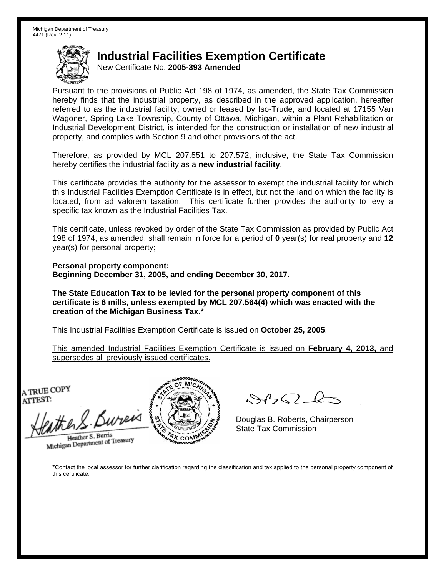New Certificate No. **2005-393 Amended**

Pursuant to the provisions of Public Act 198 of 1974, as amended, the State Tax Commission hereby finds that the industrial property, as described in the approved application, hereafter referred to as the industrial facility, owned or leased by Iso-Trude, and located at 17155 Van Wagoner, Spring Lake Township, County of Ottawa, Michigan, within a Plant Rehabilitation or Industrial Development District, is intended for the construction or installation of new industrial property, and complies with Section 9 and other provisions of the act.

Therefore, as provided by MCL 207.551 to 207.572, inclusive, the State Tax Commission hereby certifies the industrial facility as a **new industrial facility**.

This certificate provides the authority for the assessor to exempt the industrial facility for which this Industrial Facilities Exemption Certificate is in effect, but not the land on which the facility is located, from ad valorem taxation. This certificate further provides the authority to levy a specific tax known as the Industrial Facilities Tax.

This certificate, unless revoked by order of the State Tax Commission as provided by Public Act 198 of 1974, as amended, shall remain in force for a period of **0** year(s) for real property and **12** year(s) for personal property**;** 

**Personal property component: Beginning December 31, 2005, and ending December 30, 2017.** 

**The State Education Tax to be levied for the personal property component of this certificate is 6 mills, unless exempted by MCL 207.564(4) which was enacted with the creation of the Michigan Business Tax.\***

This Industrial Facilities Exemption Certificate is issued on **October 25, 2005**.

This amended Industrial Facilities Exemption Certificate is issued on **February 4, 2013,** and supersedes all previously issued certificates.

A TRUE COPY ATTEST:

the S. Bureis Heather S. Burris

Heather S. Burns<br>Michigan Department of Treasury



 $882 - 6$ 

Douglas B. Roberts, Chairperson State Tax Commission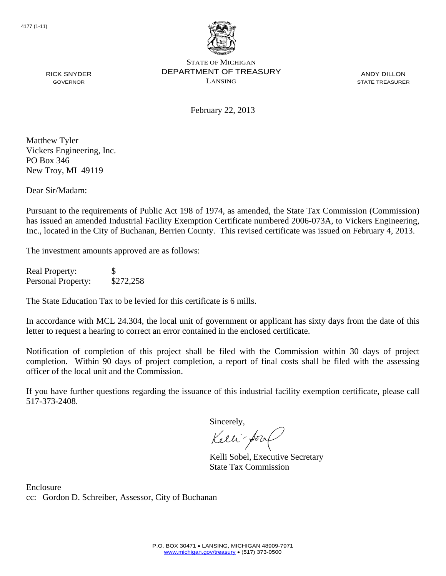

ANDY DILLON STATE TREASURER

February 22, 2013

RICK SNYDER GOVERNOR

Matthew Tyler Vickers Engineering, Inc. PO Box 346 New Troy, MI 49119

Dear Sir/Madam:

Pursuant to the requirements of Public Act 198 of 1974, as amended, the State Tax Commission (Commission) has issued an amended Industrial Facility Exemption Certificate numbered 2006-073A, to Vickers Engineering, Inc., located in the City of Buchanan, Berrien County. This revised certificate was issued on February 4, 2013.

The investment amounts approved are as follows:

Real Property: \$ Personal Property: \$272,258

The State Education Tax to be levied for this certificate is 6 mills.

In accordance with MCL 24.304, the local unit of government or applicant has sixty days from the date of this letter to request a hearing to correct an error contained in the enclosed certificate.

Notification of completion of this project shall be filed with the Commission within 30 days of project completion. Within 90 days of project completion, a report of final costs shall be filed with the assessing officer of the local unit and the Commission.

If you have further questions regarding the issuance of this industrial facility exemption certificate, please call 517-373-2408.

Sincerely,

Kelli-Sorr

Kelli Sobel, Executive Secretary State Tax Commission

Enclosure cc: Gordon D. Schreiber, Assessor, City of Buchanan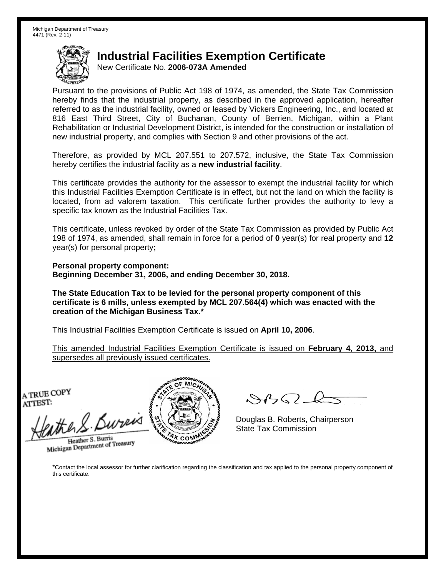New Certificate No. **2006-073A Amended**

Pursuant to the provisions of Public Act 198 of 1974, as amended, the State Tax Commission hereby finds that the industrial property, as described in the approved application, hereafter referred to as the industrial facility, owned or leased by Vickers Engineering, Inc., and located at 816 East Third Street, City of Buchanan, County of Berrien, Michigan, within a Plant Rehabilitation or Industrial Development District, is intended for the construction or installation of new industrial property, and complies with Section 9 and other provisions of the act.

Therefore, as provided by MCL 207.551 to 207.572, inclusive, the State Tax Commission hereby certifies the industrial facility as a **new industrial facility**.

This certificate provides the authority for the assessor to exempt the industrial facility for which this Industrial Facilities Exemption Certificate is in effect, but not the land on which the facility is located, from ad valorem taxation. This certificate further provides the authority to levy a specific tax known as the Industrial Facilities Tax.

This certificate, unless revoked by order of the State Tax Commission as provided by Public Act 198 of 1974, as amended, shall remain in force for a period of **0** year(s) for real property and **12** year(s) for personal property**;** 

**Personal property component: Beginning December 31, 2006, and ending December 30, 2018.** 

**The State Education Tax to be levied for the personal property component of this certificate is 6 mills, unless exempted by MCL 207.564(4) which was enacted with the creation of the Michigan Business Tax.\***

This Industrial Facilities Exemption Certificate is issued on **April 10, 2006**.

This amended Industrial Facilities Exemption Certificate is issued on **February 4, 2013,** and supersedes all previously issued certificates.

A TRUE COPY ATTEST:

eather & Bureis

Heather S. Burris Heather S. Burris<br>Michigan Department of Treasury



 $8450 - 2$ 

Douglas B. Roberts, Chairperson State Tax Commission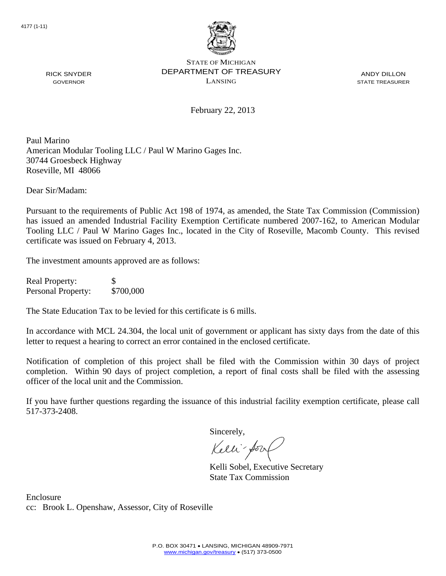

ANDY DILLON STATE TREASURER

February 22, 2013

Paul Marino American Modular Tooling LLC / Paul W Marino Gages Inc. 30744 Groesbeck Highway Roseville, MI 48066

Dear Sir/Madam:

RICK SNYDER GOVERNOR

Pursuant to the requirements of Public Act 198 of 1974, as amended, the State Tax Commission (Commission) has issued an amended Industrial Facility Exemption Certificate numbered 2007-162, to American Modular Tooling LLC / Paul W Marino Gages Inc., located in the City of Roseville, Macomb County. This revised certificate was issued on February 4, 2013.

The investment amounts approved are as follows:

Real Property: \$ Personal Property: \$700,000

The State Education Tax to be levied for this certificate is 6 mills.

In accordance with MCL 24.304, the local unit of government or applicant has sixty days from the date of this letter to request a hearing to correct an error contained in the enclosed certificate.

Notification of completion of this project shall be filed with the Commission within 30 days of project completion. Within 90 days of project completion, a report of final costs shall be filed with the assessing officer of the local unit and the Commission.

If you have further questions regarding the issuance of this industrial facility exemption certificate, please call 517-373-2408.

Sincerely,

Kelli-Sort

Kelli Sobel, Executive Secretary State Tax Commission

Enclosure cc: Brook L. Openshaw, Assessor, City of Roseville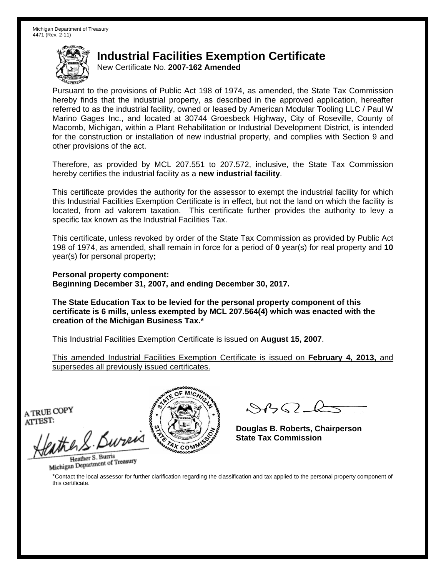New Certificate No. **2007-162 Amended**

Pursuant to the provisions of Public Act 198 of 1974, as amended, the State Tax Commission hereby finds that the industrial property, as described in the approved application, hereafter referred to as the industrial facility, owned or leased by American Modular Tooling LLC / Paul W Marino Gages Inc., and located at 30744 Groesbeck Highway, City of Roseville, County of Macomb, Michigan, within a Plant Rehabilitation or Industrial Development District, is intended for the construction or installation of new industrial property, and complies with Section 9 and other provisions of the act.

Therefore, as provided by MCL 207.551 to 207.572, inclusive, the State Tax Commission hereby certifies the industrial facility as a **new industrial facility**.

This certificate provides the authority for the assessor to exempt the industrial facility for which this Industrial Facilities Exemption Certificate is in effect, but not the land on which the facility is located, from ad valorem taxation. This certificate further provides the authority to levy a specific tax known as the Industrial Facilities Tax.

This certificate, unless revoked by order of the State Tax Commission as provided by Public Act 198 of 1974, as amended, shall remain in force for a period of **0** year(s) for real property and **10** year(s) for personal property**;** 

**Personal property component: Beginning December 31, 2007, and ending December 30, 2017.** 

**The State Education Tax to be levied for the personal property component of this certificate is 6 mills, unless exempted by MCL 207.564(4) which was enacted with the creation of the Michigan Business Tax.\***

This Industrial Facilities Exemption Certificate is issued on **August 15, 2007**.

This amended Industrial Facilities Exemption Certificate is issued on **February 4, 2013,** and supersedes all previously issued certificates.

A TRUE COPY ATTEST:

the S. Burei

Heather S. Burris Heather S. Burns<br>Michigan Department of Treasury



 $882L$ 

**Douglas B. Roberts, Chairperson State Tax Commission**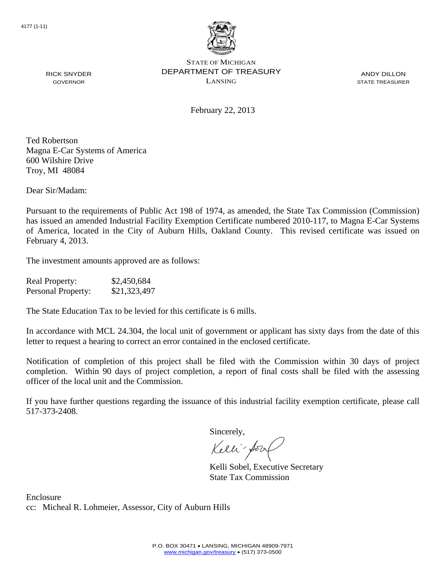

ANDY DILLON STATE TREASURER

February 22, 2013

Ted Robertson Magna E-Car Systems of America 600 Wilshire Drive Troy, MI 48084

RICK SNYDER GOVERNOR

Dear Sir/Madam:

Pursuant to the requirements of Public Act 198 of 1974, as amended, the State Tax Commission (Commission) has issued an amended Industrial Facility Exemption Certificate numbered 2010-117, to Magna E-Car Systems of America, located in the City of Auburn Hills, Oakland County. This revised certificate was issued on February 4, 2013.

The investment amounts approved are as follows:

| <b>Real Property:</b>     | \$2,450,684  |
|---------------------------|--------------|
| <b>Personal Property:</b> | \$21,323,497 |

The State Education Tax to be levied for this certificate is 6 mills.

In accordance with MCL 24.304, the local unit of government or applicant has sixty days from the date of this letter to request a hearing to correct an error contained in the enclosed certificate.

Notification of completion of this project shall be filed with the Commission within 30 days of project completion. Within 90 days of project completion, a report of final costs shall be filed with the assessing officer of the local unit and the Commission.

If you have further questions regarding the issuance of this industrial facility exemption certificate, please call 517-373-2408.

Sincerely,

Kelli-Sort

Kelli Sobel, Executive Secretary State Tax Commission

Enclosure cc: Micheal R. Lohmeier, Assessor, City of Auburn Hills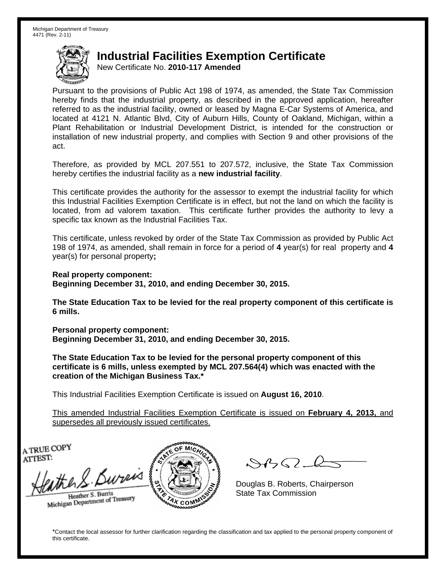New Certificate No. **2010-117 Amended**

Pursuant to the provisions of Public Act 198 of 1974, as amended, the State Tax Commission hereby finds that the industrial property, as described in the approved application, hereafter referred to as the industrial facility, owned or leased by Magna E-Car Systems of America, and located at 4121 N. Atlantic Blvd, City of Auburn Hills, County of Oakland, Michigan, within a Plant Rehabilitation or Industrial Development District, is intended for the construction or installation of new industrial property, and complies with Section 9 and other provisions of the act.

Therefore, as provided by MCL 207.551 to 207.572, inclusive, the State Tax Commission hereby certifies the industrial facility as a **new industrial facility**.

This certificate provides the authority for the assessor to exempt the industrial facility for which this Industrial Facilities Exemption Certificate is in effect, but not the land on which the facility is located, from ad valorem taxation. This certificate further provides the authority to levy a specific tax known as the Industrial Facilities Tax.

This certificate, unless revoked by order of the State Tax Commission as provided by Public Act 198 of 1974, as amended, shall remain in force for a period of **4** year(s) for real property and **4** year(s) for personal property**;** 

**Real property component:** 

**Beginning December 31, 2010, and ending December 30, 2015.** 

**The State Education Tax to be levied for the real property component of this certificate is 6 mills.**

**Personal property component: Beginning December 31, 2010, and ending December 30, 2015.** 

**The State Education Tax to be levied for the personal property component of this certificate is 6 mills, unless exempted by MCL 207.564(4) which was enacted with the creation of the Michigan Business Tax.\***

This Industrial Facilities Exemption Certificate is issued on **August 16, 2010**.

This amended Industrial Facilities Exemption Certificate is issued on **February 4, 2013,** and supersedes all previously issued certificates.

A TRUE COPY ATTEST:

ether S. Bureas Heather S. Burris

Heather S. Burris<br>Michigan Department of Treasury



 $8450 - 6$ 

Douglas B. Roberts, Chairperson State Tax Commission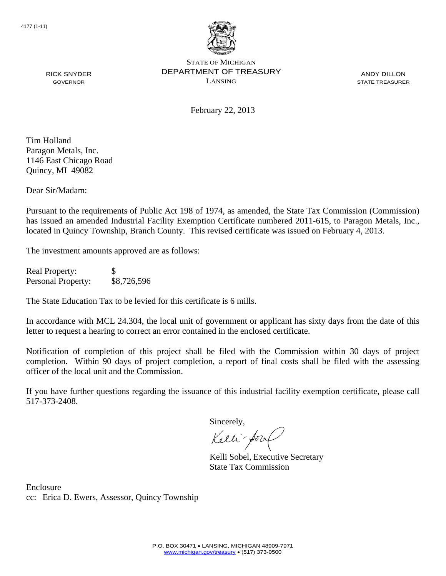

ANDY DILLON STATE TREASURER

February 22, 2013

Tim Holland Paragon Metals, Inc. 1146 East Chicago Road Quincy, MI 49082

RICK SNYDER GOVERNOR

Dear Sir/Madam:

Pursuant to the requirements of Public Act 198 of 1974, as amended, the State Tax Commission (Commission) has issued an amended Industrial Facility Exemption Certificate numbered 2011-615, to Paragon Metals, Inc., located in Quincy Township, Branch County. This revised certificate was issued on February 4, 2013.

The investment amounts approved are as follows:

Real Property: \$ Personal Property: \$8,726,596

The State Education Tax to be levied for this certificate is 6 mills.

In accordance with MCL 24.304, the local unit of government or applicant has sixty days from the date of this letter to request a hearing to correct an error contained in the enclosed certificate.

Notification of completion of this project shall be filed with the Commission within 30 days of project completion. Within 90 days of project completion, a report of final costs shall be filed with the assessing officer of the local unit and the Commission.

If you have further questions regarding the issuance of this industrial facility exemption certificate, please call 517-373-2408.

Sincerely,

Kelli-Sorr

Kelli Sobel, Executive Secretary State Tax Commission

Enclosure cc: Erica D. Ewers, Assessor, Quincy Township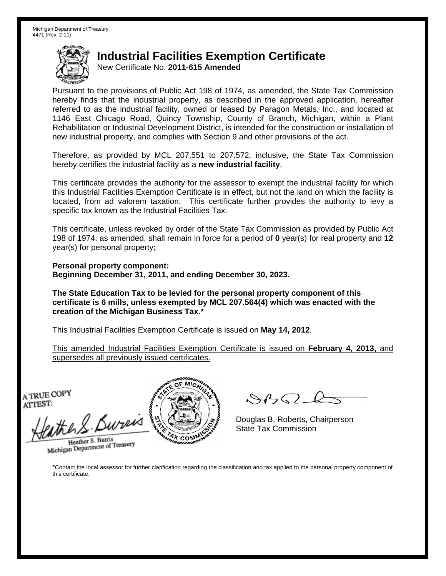New Certificate No. **2011-615 Amended**

Pursuant to the provisions of Public Act 198 of 1974, as amended, the State Tax Commission hereby finds that the industrial property, as described in the approved application, hereafter referred to as the industrial facility, owned or leased by Paragon Metals, Inc., and located at 1146 East Chicago Road, Quincy Township, County of Branch, Michigan, within a Plant Rehabilitation or Industrial Development District, is intended for the construction or installation of new industrial property, and complies with Section 9 and other provisions of the act.

Therefore, as provided by MCL 207.551 to 207.572, inclusive, the State Tax Commission hereby certifies the industrial facility as a **new industrial facility**.

This certificate provides the authority for the assessor to exempt the industrial facility for which this Industrial Facilities Exemption Certificate is in effect, but not the land on which the facility is located, from ad valorem taxation. This certificate further provides the authority to levy a specific tax known as the Industrial Facilities Tax.

This certificate, unless revoked by order of the State Tax Commission as provided by Public Act 198 of 1974, as amended, shall remain in force for a period of **0** year(s) for real property and **12** year(s) for personal property**;** 

**Personal property component: Beginning December 31, 2011, and ending December 30, 2023.** 

**The State Education Tax to be levied for the personal property component of this certificate is 6 mills, unless exempted by MCL 207.564(4) which was enacted with the creation of the Michigan Business Tax.\***

This Industrial Facilities Exemption Certificate is issued on **May 14, 2012**.

This amended Industrial Facilities Exemption Certificate is issued on **February 4, 2013,** and supersedes all previously issued certificates.

A TRUE COPY ATTEST:

the S. Bureis

Heather S. Burris Heather S. Burris<br>Michigan Department of Treasury



 $8450 - 6$ 

Douglas B. Roberts, Chairperson State Tax Commission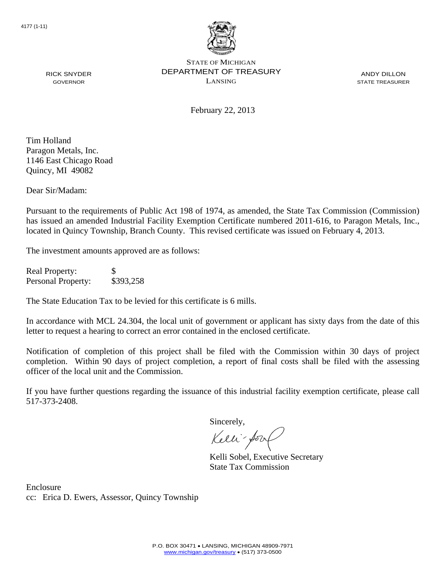

ANDY DILLON STATE TREASURER

February 22, 2013

Tim Holland Paragon Metals, Inc. 1146 East Chicago Road Quincy, MI 49082

RICK SNYDER GOVERNOR

Dear Sir/Madam:

Pursuant to the requirements of Public Act 198 of 1974, as amended, the State Tax Commission (Commission) has issued an amended Industrial Facility Exemption Certificate numbered 2011-616, to Paragon Metals, Inc., located in Quincy Township, Branch County. This revised certificate was issued on February 4, 2013.

The investment amounts approved are as follows:

Real Property: \$ Personal Property: \$393,258

The State Education Tax to be levied for this certificate is 6 mills.

In accordance with MCL 24.304, the local unit of government or applicant has sixty days from the date of this letter to request a hearing to correct an error contained in the enclosed certificate.

Notification of completion of this project shall be filed with the Commission within 30 days of project completion. Within 90 days of project completion, a report of final costs shall be filed with the assessing officer of the local unit and the Commission.

If you have further questions regarding the issuance of this industrial facility exemption certificate, please call 517-373-2408.

Sincerely,

Kelli-Sorr

Kelli Sobel, Executive Secretary State Tax Commission

Enclosure cc: Erica D. Ewers, Assessor, Quincy Township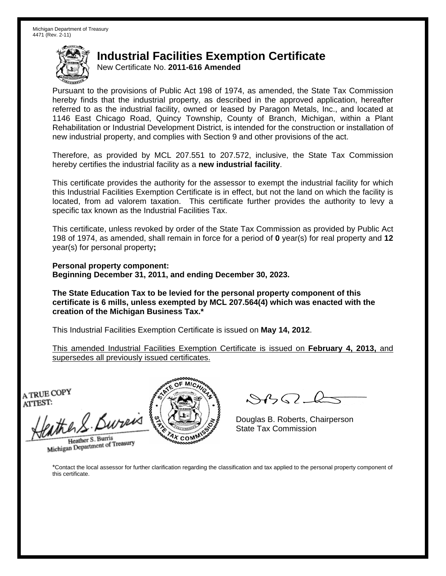New Certificate No. **2011-616 Amended**

Pursuant to the provisions of Public Act 198 of 1974, as amended, the State Tax Commission hereby finds that the industrial property, as described in the approved application, hereafter referred to as the industrial facility, owned or leased by Paragon Metals, Inc., and located at 1146 East Chicago Road, Quincy Township, County of Branch, Michigan, within a Plant Rehabilitation or Industrial Development District, is intended for the construction or installation of new industrial property, and complies with Section 9 and other provisions of the act.

Therefore, as provided by MCL 207.551 to 207.572, inclusive, the State Tax Commission hereby certifies the industrial facility as a **new industrial facility**.

This certificate provides the authority for the assessor to exempt the industrial facility for which this Industrial Facilities Exemption Certificate is in effect, but not the land on which the facility is located, from ad valorem taxation. This certificate further provides the authority to levy a specific tax known as the Industrial Facilities Tax.

This certificate, unless revoked by order of the State Tax Commission as provided by Public Act 198 of 1974, as amended, shall remain in force for a period of **0** year(s) for real property and **12** year(s) for personal property**;** 

**Personal property component: Beginning December 31, 2011, and ending December 30, 2023.** 

**The State Education Tax to be levied for the personal property component of this certificate is 6 mills, unless exempted by MCL 207.564(4) which was enacted with the creation of the Michigan Business Tax.\***

This Industrial Facilities Exemption Certificate is issued on **May 14, 2012**.

This amended Industrial Facilities Exemption Certificate is issued on **February 4, 2013,** and supersedes all previously issued certificates.

A TRUE COPY ATTEST:

athers Bureas

Heather S. Burris Heather S. Burris<br>Michigan Department of Treasury



 $8450 - 2$ 

Douglas B. Roberts, Chairperson State Tax Commission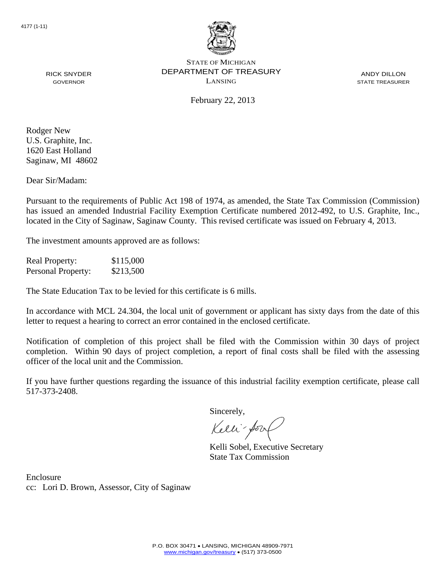

ANDY DILLON STATE TREASURER

February 22, 2013

Rodger New U.S. Graphite, Inc. 1620 East Holland Saginaw, MI 48602

RICK SNYDER GOVERNOR

Dear Sir/Madam:

Pursuant to the requirements of Public Act 198 of 1974, as amended, the State Tax Commission (Commission) has issued an amended Industrial Facility Exemption Certificate numbered 2012-492, to U.S. Graphite, Inc., located in the City of Saginaw, Saginaw County. This revised certificate was issued on February 4, 2013.

The investment amounts approved are as follows:

Real Property: \$115,000 Personal Property: \$213,500

The State Education Tax to be levied for this certificate is 6 mills.

In accordance with MCL 24.304, the local unit of government or applicant has sixty days from the date of this letter to request a hearing to correct an error contained in the enclosed certificate.

Notification of completion of this project shall be filed with the Commission within 30 days of project completion. Within 90 days of project completion, a report of final costs shall be filed with the assessing officer of the local unit and the Commission.

If you have further questions regarding the issuance of this industrial facility exemption certificate, please call 517-373-2408.

Sincerely,

Kelli-fort

Kelli Sobel, Executive Secretary State Tax Commission

Enclosure cc: Lori D. Brown, Assessor, City of Saginaw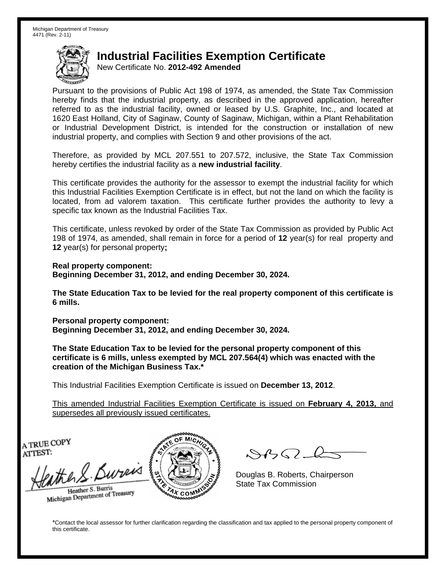New Certificate No. **2012-492 Amended**

Pursuant to the provisions of Public Act 198 of 1974, as amended, the State Tax Commission hereby finds that the industrial property, as described in the approved application, hereafter referred to as the industrial facility, owned or leased by U.S. Graphite, Inc., and located at 1620 East Holland, City of Saginaw, County of Saginaw, Michigan, within a Plant Rehabilitation or Industrial Development District, is intended for the construction or installation of new industrial property, and complies with Section 9 and other provisions of the act.

Therefore, as provided by MCL 207.551 to 207.572, inclusive, the State Tax Commission hereby certifies the industrial facility as a **new industrial facility**.

This certificate provides the authority for the assessor to exempt the industrial facility for which this Industrial Facilities Exemption Certificate is in effect, but not the land on which the facility is located, from ad valorem taxation. This certificate further provides the authority to levy a specific tax known as the Industrial Facilities Tax.

This certificate, unless revoked by order of the State Tax Commission as provided by Public Act 198 of 1974, as amended, shall remain in force for a period of **12** year(s) for real property and **12** year(s) for personal property**;** 

**Real property component: Beginning December 31, 2012, and ending December 30, 2024.** 

**The State Education Tax to be levied for the real property component of this certificate is 6 mills.**

**Personal property component: Beginning December 31, 2012, and ending December 30, 2024.** 

**The State Education Tax to be levied for the personal property component of this certificate is 6 mills, unless exempted by MCL 207.564(4) which was enacted with the creation of the Michigan Business Tax.\***

This Industrial Facilities Exemption Certificate is issued on **December 13, 2012**.

This amended Industrial Facilities Exemption Certificate is issued on **February 4, 2013,** and supersedes all previously issued certificates.

A TRUE COPY ATTEST:

the S. Bureis

Heather S. Burris Heather S. Burns<br>Michigan Department of Treasury



 $\mathcal{S}$ 

Douglas B. Roberts, Chairperson State Tax Commission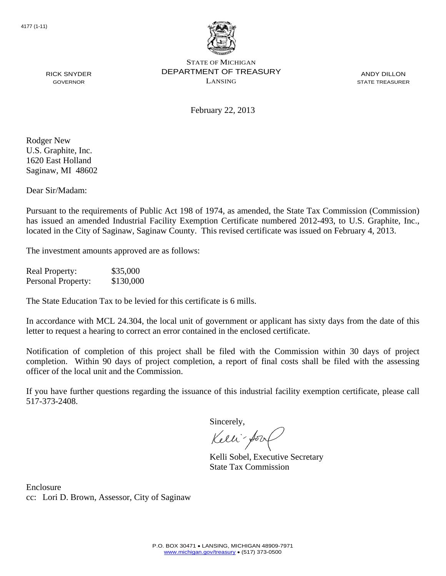

ANDY DILLON STATE TREASURER

February 22, 2013

Rodger New U.S. Graphite, Inc. 1620 East Holland Saginaw, MI 48602

RICK SNYDER GOVERNOR

Dear Sir/Madam:

Pursuant to the requirements of Public Act 198 of 1974, as amended, the State Tax Commission (Commission) has issued an amended Industrial Facility Exemption Certificate numbered 2012-493, to U.S. Graphite, Inc., located in the City of Saginaw, Saginaw County. This revised certificate was issued on February 4, 2013.

The investment amounts approved are as follows:

Real Property: \$35,000 Personal Property: \$130,000

The State Education Tax to be levied for this certificate is 6 mills.

In accordance with MCL 24.304, the local unit of government or applicant has sixty days from the date of this letter to request a hearing to correct an error contained in the enclosed certificate.

Notification of completion of this project shall be filed with the Commission within 30 days of project completion. Within 90 days of project completion, a report of final costs shall be filed with the assessing officer of the local unit and the Commission.

If you have further questions regarding the issuance of this industrial facility exemption certificate, please call 517-373-2408.

Sincerely,

Kelli-Sorr

Kelli Sobel, Executive Secretary State Tax Commission

Enclosure cc: Lori D. Brown, Assessor, City of Saginaw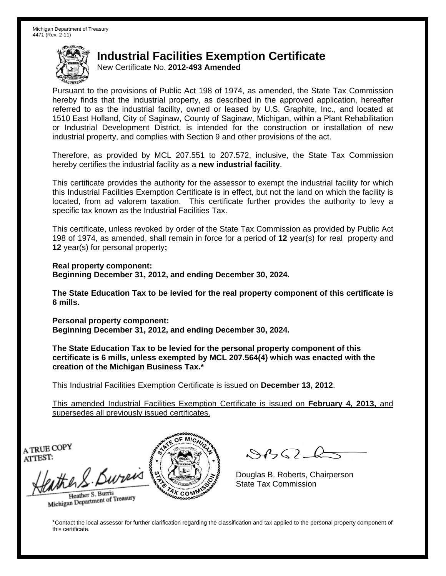New Certificate No. **2012-493 Amended**

Pursuant to the provisions of Public Act 198 of 1974, as amended, the State Tax Commission hereby finds that the industrial property, as described in the approved application, hereafter referred to as the industrial facility, owned or leased by U.S. Graphite, Inc., and located at 1510 East Holland, City of Saginaw, County of Saginaw, Michigan, within a Plant Rehabilitation or Industrial Development District, is intended for the construction or installation of new industrial property, and complies with Section 9 and other provisions of the act.

Therefore, as provided by MCL 207.551 to 207.572, inclusive, the State Tax Commission hereby certifies the industrial facility as a **new industrial facility**.

This certificate provides the authority for the assessor to exempt the industrial facility for which this Industrial Facilities Exemption Certificate is in effect, but not the land on which the facility is located, from ad valorem taxation. This certificate further provides the authority to levy a specific tax known as the Industrial Facilities Tax.

This certificate, unless revoked by order of the State Tax Commission as provided by Public Act 198 of 1974, as amended, shall remain in force for a period of **12** year(s) for real property and **12** year(s) for personal property**;** 

**Real property component: Beginning December 31, 2012, and ending December 30, 2024.** 

**The State Education Tax to be levied for the real property component of this certificate is 6 mills.**

**Personal property component: Beginning December 31, 2012, and ending December 30, 2024.** 

**The State Education Tax to be levied for the personal property component of this certificate is 6 mills, unless exempted by MCL 207.564(4) which was enacted with the creation of the Michigan Business Tax.\***

This Industrial Facilities Exemption Certificate is issued on **December 13, 2012**.

This amended Industrial Facilities Exemption Certificate is issued on **February 4, 2013,** and supersedes all previously issued certificates.

A TRUE COPY ATTEST:

the S. Burn Heather S. Burris

Heather S. Buris<br>Michigan Department of Treasury



 $8822$ 

Douglas B. Roberts, Chairperson State Tax Commission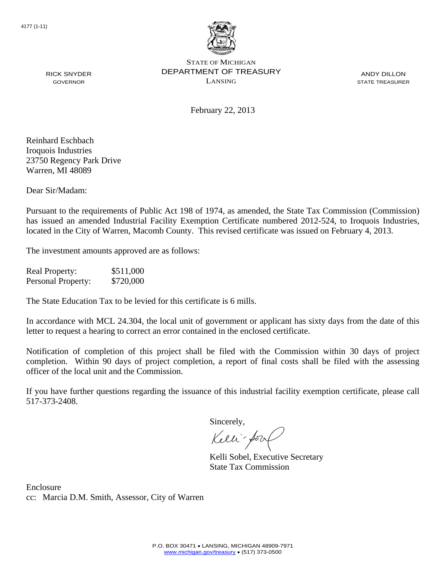

ANDY DILLON STATE TREASURER

February 22, 2013

Reinhard Eschbach Iroquois Industries 23750 Regency Park Drive Warren, MI 48089

RICK SNYDER GOVERNOR

Dear Sir/Madam:

Pursuant to the requirements of Public Act 198 of 1974, as amended, the State Tax Commission (Commission) has issued an amended Industrial Facility Exemption Certificate numbered 2012-524, to Iroquois Industries, located in the City of Warren, Macomb County. This revised certificate was issued on February 4, 2013.

The investment amounts approved are as follows:

Real Property: \$511,000 Personal Property: \$720,000

The State Education Tax to be levied for this certificate is 6 mills.

In accordance with MCL 24.304, the local unit of government or applicant has sixty days from the date of this letter to request a hearing to correct an error contained in the enclosed certificate.

Notification of completion of this project shall be filed with the Commission within 30 days of project completion. Within 90 days of project completion, a report of final costs shall be filed with the assessing officer of the local unit and the Commission.

If you have further questions regarding the issuance of this industrial facility exemption certificate, please call 517-373-2408.

Sincerely,

Kelli-Sorr

Kelli Sobel, Executive Secretary State Tax Commission

Enclosure cc: Marcia D.M. Smith, Assessor, City of Warren